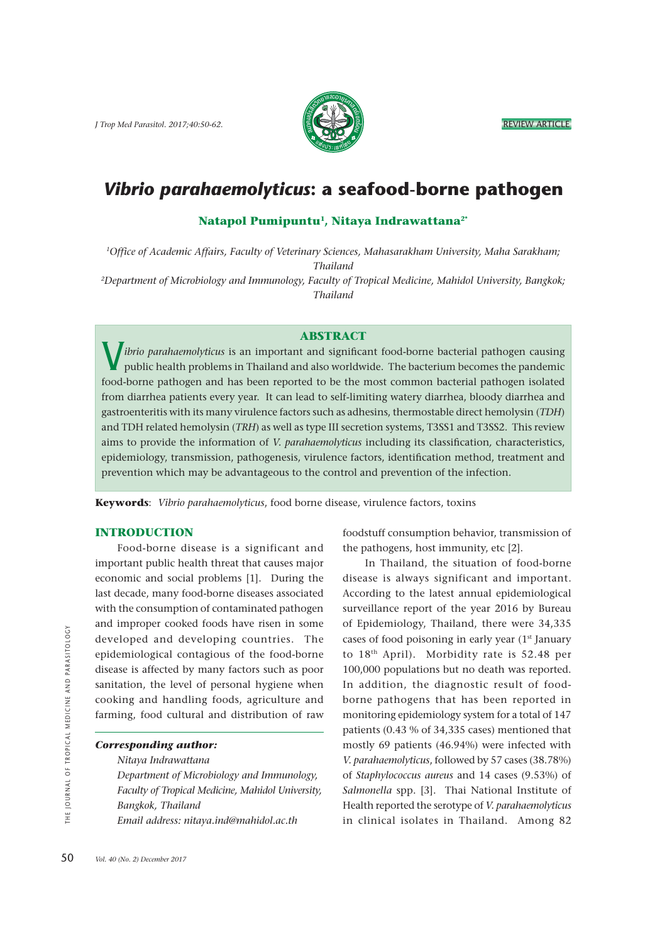*J Trop Med Parasitol. 2017;40:50-62.* REVIEW ARTICLE



# *Vibrio parahaemolyticus***: a seafood-borne pathogen**

# **Natapol Pumipuntu1, Nitaya Indrawattana2\***

*1Office of Academic Affairs, Faculty of Veterinary Sciences, Mahasarakham University, Maha Sarakham; Thailand*

*2Department of Microbiology and Immunology, Faculty of Tropical Medicine, Mahidol University, Bangkok; Thailand* 

#### **ABSTRACT**

V *ibrio parahaemolyticus* is an important and significant food-borne bacterial pathogen causing public health problems in Thailand and also worldwide. The bacterium becomes the pandemic food-borne pathogen and has been reported to be the most common bacterial pathogen isolated from diarrhea patients every year. It can lead to self-limiting watery diarrhea, bloody diarrhea and gastroenteritis with its many virulence factors such as adhesins, thermostable direct hemolysin (*TDH*) and TDH related hemolysin (*TRH*) as well as type III secretion systems, T3SS1 and T3SS2. This review aims to provide the information of *V. parahaemolyticus* including its classification*,* characteristics, epidemiology, transmission, pathogenesis, virulence factors, identification method, treatment and prevention which may be advantageous to the control and prevention of the infection.

**Keywords**: *Vibrio parahaemolyticus*, food borne disease, virulence factors, toxins

### **INTRODUCTION**

 Food-borne disease is a significant and important public health threat that causes major economic and social problems [1].During the last decade, many food-borne diseases associated with the consumption of contaminated pathogen and improper cooked foods have risen in some developed and developing countries. The epidemiological contagious of the food-borne disease is affected by many factors such as poor sanitation, the level of personal hygiene when cooking and handling foods, agriculture and farming, food cultural and distribution of raw

#### *Corresponding author:*

 *Nitaya Indrawattana*

 *Department of Microbiology and Immunology, Faculty of Tropical Medicine, Mahidol University, Bangkok, Thailand Email address: nitaya.ind@mahidol.ac.th*

foodstuff consumption behavior, transmission of the pathogens, host immunity, etc [2].

 In Thailand, the situation of food-borne disease is always significant and important. According to the latest annual epidemiological surveillance report of the year 2016 by Bureau of Epidemiology, Thailand, there were 34,335 cases of food poisoning in early year (1<sup>st</sup> January to 18th April). Morbidity rate is 52.48 per 100,000 populations but no death was reported. In addition, the diagnostic result of foodborne pathogens that has been reported in monitoring epidemiology system for a total of 147 patients (0.43 % of 34,335 cases) mentioned that mostly 69 patients (46.94%) were infected with *V. parahaemolyticus*, followed by 57 cases (38.78%) of *Staphylococcus aureus* and 14 cases (9.53%) of *Salmonella* spp. [3]. Thai National Institute of Health reported the serotype of *V. parahaemolyticus* in clinical isolates in Thailand. Among 82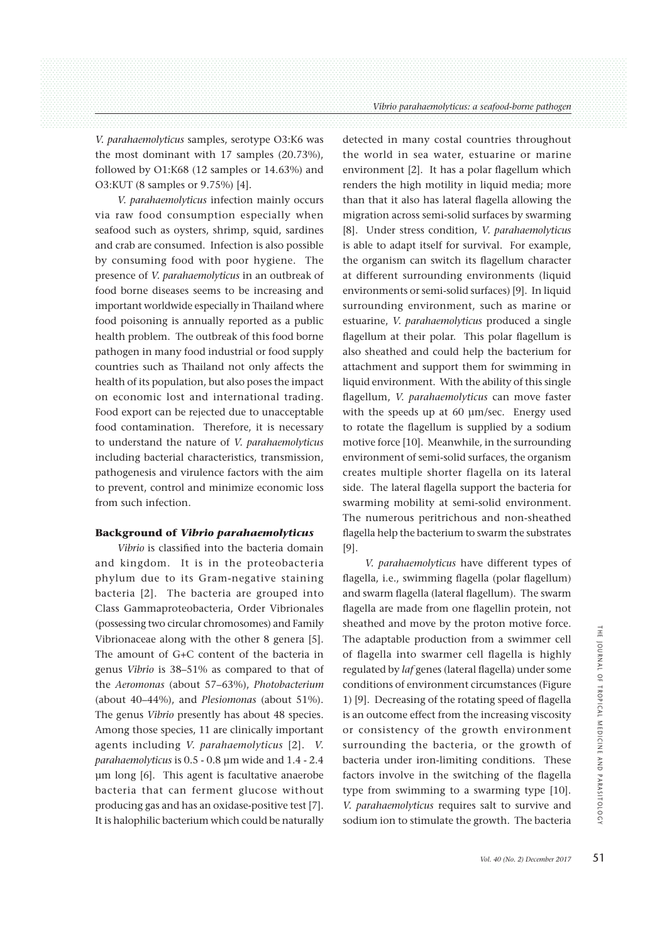*V. parahaemolyticus* samples, serotype O3:K6 was the most dominant with 17 samples (20.73%), followed by O1:K68 (12 samples or 14.63%) and O3:KUT (8 samples or 9.75%) [4].

 *V. parahaemolyticus* infection mainly occurs via raw food consumption especially when seafood such as oysters, shrimp, squid, sardines and crab are consumed. Infection is also possible by consuming food with poor hygiene. The presence of *V. parahaemolyticus* in an outbreak of food borne diseases seems to be increasing and important worldwide especially in Thailand where food poisoning is annually reported as a public health problem. The outbreak of this food borne pathogen in many food industrial or food supply countries such as Thailand not only affects the health of its population, but also poses the impact on economic lost and international trading. Food export can be rejected due to unacceptable food contamination. Therefore, it is necessary to understand the nature of *V. parahaemolyticus* including bacterial characteristics, transmission, pathogenesis and virulence factors with the aim to prevent, control and minimize economic loss from such infection.

## **Background of** *Vibrio parahaemolyticus*

 *Vibrio* is classified into the bacteria domain and kingdom. It is in the proteobacteria phylum due to its Gram-negative staining bacteria [2]. The bacteria are grouped into Class Gammaproteobacteria, Order Vibrionales (possessing two circular chromosomes) and Family Vibrionaceae along with the other 8 genera [5]. The amount of G+C content of the bacteria in genus *Vibrio* is 38–51% as compared to that of the *Aeromonas* (about 57–63%), *Photobacterium*  (about 40–44%), and *Plesiomonas* (about 51%). The genus *Vibrio* presently has about 48 species. Among those species, 11 are clinically important agents including *V. parahaemolyticus* [2]. *V. parahaemolyticus* is 0.5 - 0.8 μm wide and 1.4 - 2.4 μm long [6]. This agent is facultative anaerobe bacteria that can ferment glucose without producing gas and has an oxidase-positive test [7]. It is halophilic bacterium which could be naturally detected in many costal countries throughout the world in sea water, estuarine or marine environment [2].It has a polar flagellum which renders the high motility in liquid media; more than that it also has lateral flagella allowing the migration across semi-solid surfaces by swarming [8]. Under stress condition, *V. parahaemolyticus*  is able to adapt itself for survival. For example, the organism can switch its flagellum character at different surrounding environments (liquid environments or semi-solid surfaces) [9]. In liquid surrounding environment, such as marine or estuarine, *V. parahaemolyticus* produced a single flagellum at their polar. This polar flagellum is also sheathed and could help the bacterium for attachment and support them for swimming in liquid environment. With the ability of this single flagellum, *V. parahaemolyticus* can move faster with the speeds up at 60 um/sec. Energy used to rotate the flagellum is supplied by a sodium motive force [10]. Meanwhile, in the surrounding environment of semi-solid surfaces, the organism creates multiple shorter flagella on its lateral side. The lateral flagella support the bacteria for swarming mobility at semi-solid environment. The numerous peritrichous and non-sheathed flagella help the bacterium to swarm the substrates [9].

 *V. parahaemolyticus* have different types of flagella, i.e., swimming flagella (polar flagellum) and swarm flagella (lateral flagellum). The swarm flagella are made from one flagellin protein, not sheathed and move by the proton motive force. The adaptable production from a swimmer cell of flagella into swarmer cell flagella is highly regulated by *laf* genes (lateral flagella) under some conditions of environment circumstances (Figure 1) [9]. Decreasing of the rotating speed of flagella is an outcome effect from the increasing viscosity or consistency of the growth environment surrounding the bacteria, or the growth of bacteria under iron-limiting conditions. These factors involve in the switching of the flagella type from swimming to a swarming type [10]. *V. parahaemolyticus* requires salt to survive and sodium ion to stimulate the growth. The bacteria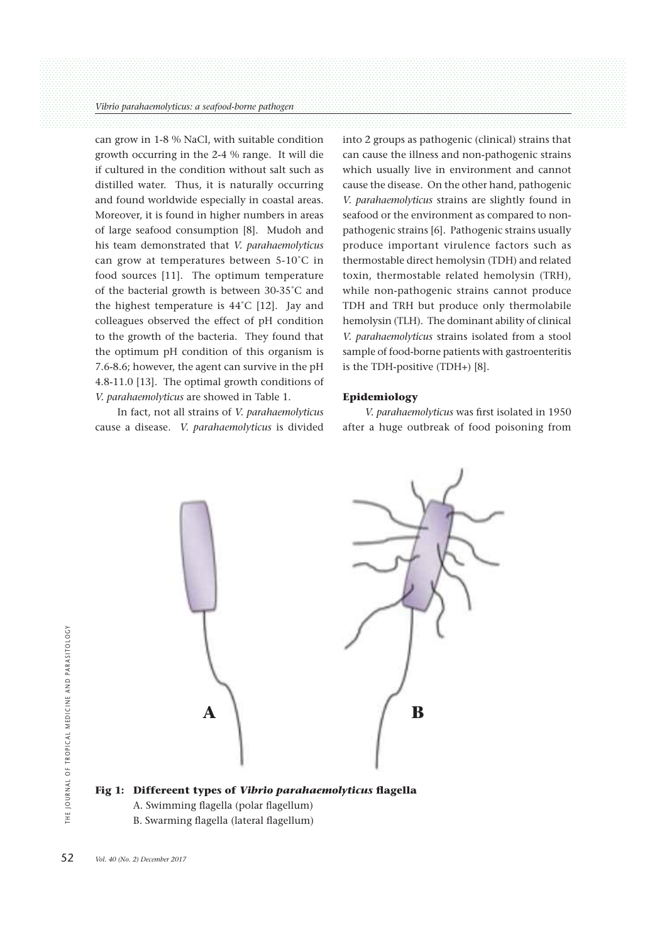can grow in 1-8 % NaCl, with suitable condition growth occurring in the 2-4 % range. It will die if cultured in the condition without salt such as distilled water. Thus, it is naturally occurring and found worldwide especially in coastal areas. Moreover, it is found in higher numbers in areas of large seafood consumption [8]. Mudoh and his team demonstrated that *V. parahaemolyticus* can grow at temperatures between 5-10˚C in food sources [11]. The optimum temperature of the bacterial growth is between 30-35˚C and the highest temperature is 44˚C [12]. Jay and colleagues observed the effect of pH condition to the growth of the bacteria. They found that the optimum pH condition of this organism is 7.6-8.6; however, the agent can survive in the pH 4.8-11.0 [13]. The optimal growth conditions of *V. parahaemolyticus* are showed in Table 1.

 In fact, not all strains of *V. parahaemolyticus* cause a disease. *V. parahaemolyticus* is divided into 2 groups as pathogenic (clinical) strains that can cause the illness and non-pathogenic strains which usually live in environment and cannot cause the disease. On the other hand, pathogenic *V. parahaemolyticus* strains are slightly found in seafood or the environment as compared to nonpathogenic strains [6]. Pathogenic strains usually produce important virulence factors such as thermostable direct hemolysin (TDH) and related toxin, thermostable related hemolysin (TRH), while non-pathogenic strains cannot produce TDH and TRH but produce only thermolabile hemolysin (TLH). The dominant ability of clinical *V. parahaemolyticus* strains isolated from a stool sample of food-borne patients with gastroenteritis is the TDH-positive (TDH+) [8].

### **Epidemiology**

 *V. parahaemolyticus* was first isolated in 1950 after a huge outbreak of food poisoning from



**Fig 1: Differeent types of** *Vibrio parahaemolyticus* **flagella** A. Swimming flagella (polar flagellum)

B. Swarming flagella (lateral flagellum)

52 *Vol. 40 (No. 2) December 2017*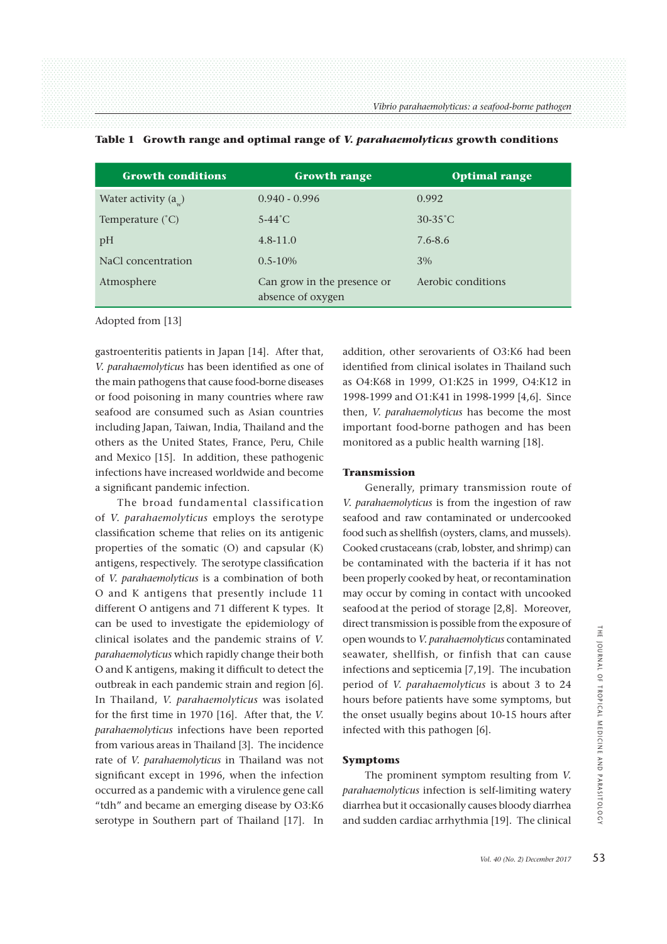| <b>Growth conditions</b>      | <b>Growth range</b>                              | <b>Optimal range</b> |
|-------------------------------|--------------------------------------------------|----------------------|
| Water activity $(a_{\omega})$ | $0.940 - 0.996$                                  | 0.992                |
| Temperature $(^{\circ}C)$     | $5-44^{\circ}$ C                                 | $30-35^{\circ}$ C    |
| pH                            | $4.8 - 11.0$                                     | 7.6-8.6              |
| NaCl concentration            | $0.5 - 10\%$                                     | 3%                   |
| Atmosphere                    | Can grow in the presence or<br>absence of oxygen | Aerobic conditions   |

#### **Table 1 Growth range and optimal range of** *V. parahaemolyticus* **growth conditions**

Adopted from [13]

gastroenteritis patients in Japan [14]. After that, *V. parahaemolyticus* has been identified as one of the main pathogens that cause food-borne diseases or food poisoning in many countries where raw seafood are consumed such as Asian countries including Japan, Taiwan, India, Thailand and the others as the United States, France, Peru, Chile and Mexico [15]. In addition, these pathogenic infections have increased worldwide and become a significant pandemic infection.

 The broad fundamental classification of *V. parahaemolyticus* employs the serotype classification scheme that relies on its antigenic properties of the somatic (O) and capsular (K) antigens, respectively. The serotype classification of *V. parahaemolyticus* is a combination of both O and K antigens that presently include 11 different O antigens and 71 different K types. It can be used to investigate the epidemiology of clinical isolates and the pandemic strains of *V. parahaemolyticus* which rapidly change their both O and K antigens, making it difficult to detect the outbreak in each pandemic strain and region [6]. In Thailand, *V. parahaemolyticus* was isolated for the first time in 1970 [16]. After that, the *V. parahaemolyticus* infections have been reported from various areas in Thailand [3]. The incidence rate of *V. parahaemolyticus* in Thailand was not significant except in 1996, when the infection occurred as a pandemic with a virulence gene call "tdh" and became an emerging disease by O3:K6 serotype in Southern part of Thailand [17]. In addition, other serovarients of O3:K6 had been identified from clinical isolates in Thailand such as O4:K68 in 1999, O1:K25 in 1999, O4:K12 in 1998-1999 and O1:K41 in 1998-1999 [4,6]. Since then, *V. parahaemolyticus* has become the most important food-borne pathogen and has been monitored as a public health warning [18].

#### **Transmission**

 Generally, primary transmission route of *V. parahaemolyticus* is from the ingestion of raw seafood and raw contaminated or undercooked food such as shellfish (oysters, clams, and mussels). Cooked crustaceans (crab, lobster, and shrimp) can be contaminated with the bacteria if it has not been properly cooked by heat, or recontamination may occur by coming in contact with uncooked seafood at the period of storage [2,8]. Moreover, direct transmission is possible from the exposure of open wounds to *V. parahaemolyticus* contaminated seawater, shellfish, or finfish that can cause infections and septicemia [7,19]. The incubation period of *V. parahaemolyticus* is about 3 to 24 hours before patients have some symptoms, but the onset usually begins about 10-15 hours after infected with this pathogen [6].

### **Symptoms**

 The prominent symptom resulting from *V. parahaemolyticus* infection is self-limiting watery diarrhea but it occasionally causes bloody diarrhea and sudden cardiac arrhythmia [19]. The clinical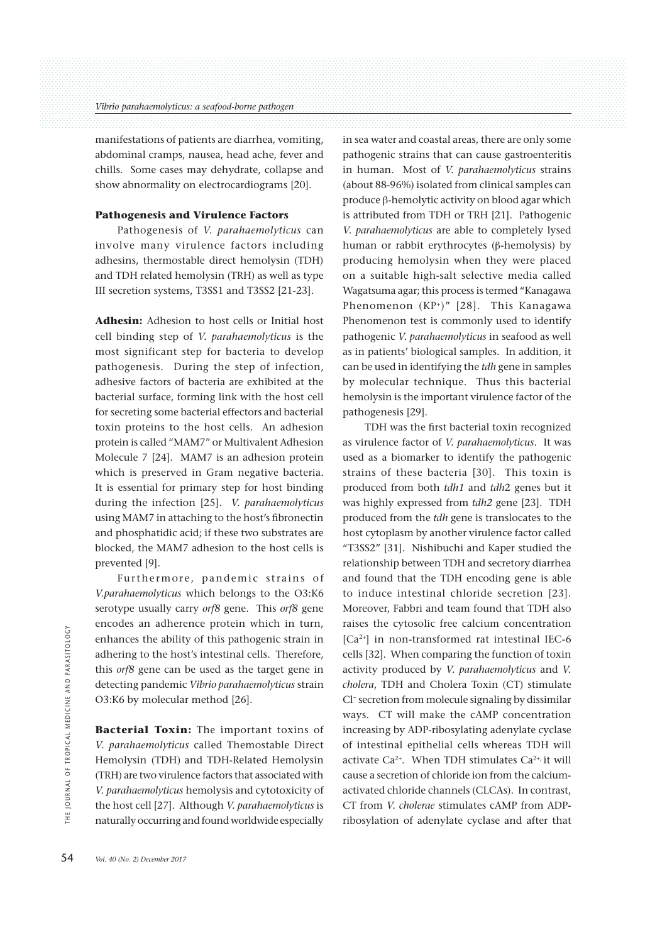manifestations of patients are diarrhea, vomiting, abdominal cramps, nausea, head ache, fever and chills. Some cases may dehydrate, collapse and show abnormality on electrocardiograms [20].

## **Pathogenesis and Virulence Factors**

 Pathogenesis of *V. parahaemolyticus* can involve many virulence factors including adhesins, thermostable direct hemolysin (TDH) and TDH related hemolysin (TRH) as well as type III secretion systems, T3SS1 and T3SS2 [21-23].

**Adhesin:** Adhesion to host cells or Initial host cell binding step of *V. parahaemolyticus* is the most significant step for bacteria to develop pathogenesis. During the step of infection, adhesive factors of bacteria are exhibited at the bacterial surface, forming link with the host cell for secreting some bacterial effectors and bacterial toxin proteins to the host cells. An adhesion protein is called "MAM7" or Multivalent Adhesion Molecule 7 [24]. MAM7 is an adhesion protein which is preserved in Gram negative bacteria. It is essential for primary step for host binding during the infection [25]. *V. parahaemolyticus* using MAM7 in attaching to the host's fibronectin and phosphatidic acid; if these two substrates are blocked, the MAM7 adhesion to the host cells is prevented [9].

 Furthermore, pandemic strains of *V.parahaemolyticus* which belongs to the O3:K6 serotype usually carry *orf8* gene. This *orf8* gene encodes an adherence protein which in turn, enhances the ability of this pathogenic strain in adhering to the host's intestinal cells. Therefore, this *orf8* gene can be used as the target gene in detecting pandemic *Vibrio parahaemolyticus* strain O3:K6 by molecular method [26].

**Bacterial Toxin:** The important toxins of *V. parahaemolyticus* called Themostable Direct Hemolysin (TDH) and TDH-Related Hemolysin (TRH) are two virulence factors that associated with *V. parahaemolyticus* hemolysis and cytotoxicity of the host cell [27]. Although *V. parahaemolyticus* is naturally occurring and found worldwide especially in sea water and coastal areas, there are only some pathogenic strains that can cause gastroenteritis in human. Most of *V. parahaemolyticus* strains (about 88-96%) isolated from clinical samples can produce  $\beta$ -hemolytic activity on blood agar which is attributed from TDH or TRH [21]. Pathogenic *V. parahaemolyticus* are able to completely lysed human or rabbit erythrocytes ( $\beta$ -hemolysis) by producing hemolysin when they were placed on a suitable high-salt selective media called Wagatsuma agar; this process is termed "Kanagawa Phenomenon (KP<sup>+</sup>)" [28]. This Kanagawa Phenomenon test is commonly used to identify pathogenic *V. parahaemolyticus* in seafood as well as in patients' biological samples. In addition, it can be used in identifying the *tdh* gene in samples by molecular technique. Thus this bacterial hemolysin is the important virulence factor of the pathogenesis [29].

 TDH was the first bacterial toxin recognized as virulence factor of *V. parahaemolyticus.* It was used as a biomarker to identify the pathogenic strains of these bacteria [30]. This toxin is produced from both *tdh1* and *tdh*2 genes but it was highly expressed from *tdh2* gene [23]. TDH produced from the *tdh* gene is translocates to the host cytoplasm by another virulence factor called "T3SS2" [31]. Nishibuchi and Kaper studied the relationship between TDH and secretory diarrhea and found that the TDH encoding gene is able to induce intestinal chloride secretion [23]. Moreover, Fabbri and team found that TDH also raises the cytosolic free calcium concentration [Ca2+] in non-transformed rat intestinal IEC-6 cells [32]. When comparing the function of toxin activity produced by *V. parahaemolyticus* and *V. cholera*, TDH and Cholera Toxin (CT) stimulate Cl− secretion from molecule signaling by dissimilar ways. CT will make the cAMP concentration increasing by ADP-ribosylating adenylate cyclase of intestinal epithelial cells whereas TDH will activate Ca<sup>2+</sup>. When TDH stimulates Ca<sup>2+,</sup> it will cause a secretion of chloride ion from the calciumactivated chloride channels (CLCAs). In contrast, CT from *V. cholerae* stimulates cAMP from ADPribosylation of adenylate cyclase and after that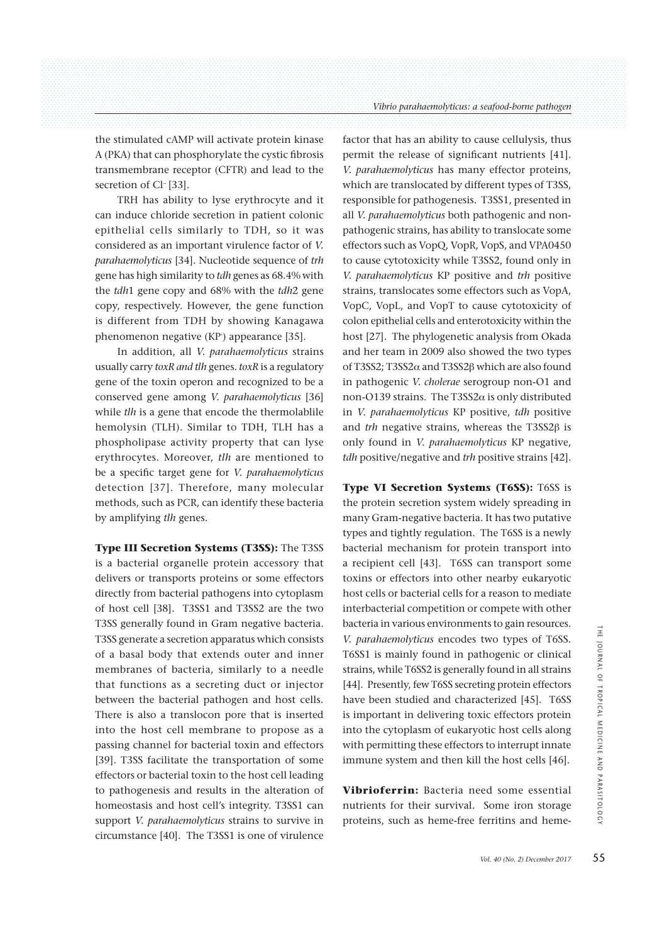the stimulated cAMP will activate protein kinase A (PKA) that can phosphorylate the cystic fibrosis transmembrane receptor (CFTR) and lead to the secretion of Cl− [33].

 TRH has ability to lyse erythrocyte and it can induce chloride secretion in patient colonic epithelial cells similarly to TDH, so it was considered as an important virulence factor of *V. parahaemolyticus* [34]. Nucleotide sequence of *trh* gene has high similarity to *tdh* genes as 68.4% with the *tdh*1 gene copy and 68% with the *tdh*2 gene copy, respectively. However, the gene function is different from TDH by showing Kanagawa phenomenon negative (KP- ) appearance [35].

 In addition, all *V. parahaemolyticus* strains usually carry *toxR and tlh* genes. *toxR* is a regulatory gene of the toxin operon and recognized to be a conserved gene among *V. parahaemolyticus* [36] while *tlh* is a gene that encode the thermolablile hemolysin (TLH). Similar to TDH, TLH has a phospholipase activity property that can lyse erythrocytes. Moreover, *tlh* are mentioned to be a specific target gene for *V. parahaemolyticus* detection [37]. Therefore, many molecular methods, such as PCR, can identify these bacteria by amplifying *tlh* genes.

**Type III Secretion Systems (T3SS):** The T3SS is a bacterial organelle protein accessory that delivers or transports proteins or some effectors directly from bacterial pathogens into cytoplasm of host cell [38]. T3SS1 and T3SS2 are the two T3SS generally found in Gram negative bacteria. T3SS generate a secretion apparatus which consists of a basal body that extends outer and inner membranes of bacteria, similarly to a needle that functions as a secreting duct or injector between the bacterial pathogen and host cells. There is also a translocon pore that is inserted into the host cell membrane to propose as a passing channel for bacterial toxin and effectors [39]. T3SS facilitate the transportation of some effectors or bacterial toxin to the host cell leading to pathogenesis and results in the alteration of homeostasis and host cell's integrity. T3SS1 can support *V. parahaemolyticus* strains to survive in circumstance [40]. The T3SS1 is one of virulence factor that has an ability to cause cellulysis, thus permit the release of significant nutrients [41]. *V. parahaemolyticus* has many effector proteins, which are translocated by different types of T3SS, responsible for pathogenesis. T3SS1, presented in all *V. parahaemolyticus* both pathogenic and nonpathogenic strains, has ability to translocate some effectors such as VopQ, VopR, VopS, and VPA0450 to cause cytotoxicity while T3SS2, found only in *V. parahaemolyticus* KP positive and *trh* positive strains, translocates some effectors such as VopA, VopC, VopL, and VopT to cause cytotoxicity of colon epithelial cells and enterotoxicity within the host [27]. The phylogenetic analysis from Okada and her team in 2009 also showed the two types of T3SS2; T3SS2 $\alpha$  and T3SS2 $\beta$  which are also found in pathogenic *V. cholerae* serogroup non-O1 and non-O139 strains. The T3SS2 $\alpha$  is only distributed in *V. parahaemolyticus* KP positive, *tdh* positive and  $trh$  negative strains, whereas the T3SS2 $\beta$  is only found in *V. parahaemolyticus* KP negative, *tdh* positive/negative and *trh* positive strains [42].

**Type VI Secretion Systems (T6SS):** T6SS is the protein secretion system widely spreading in many Gram-negative bacteria. It has two putative types and tightly regulation. The T6SS is a newly bacterial mechanism for protein transport into a recipient cell [43]. T6SS can transport some toxins or effectors into other nearby eukaryotic host cells or bacterial cells for a reason to mediate interbacterial competition or compete with other bacteria in various environments to gain resources. *V. parahaemolyticus* encodes two types of T6SS. T6SS1 is mainly found in pathogenic or clinical strains, while T6SS2 is generally found in all strains [44]. Presently, few T6SS secreting protein effectors have been studied and characterized [45]. T6SS is important in delivering toxic effectors protein into the cytoplasm of eukaryotic host cells along with permitting these effectors to interrupt innate immune system and then kill the host cells [46].

**Vibrioferrin:** Bacteria need some essential nutrients for their survival. Some iron storage proteins, such as heme-free ferritins and heme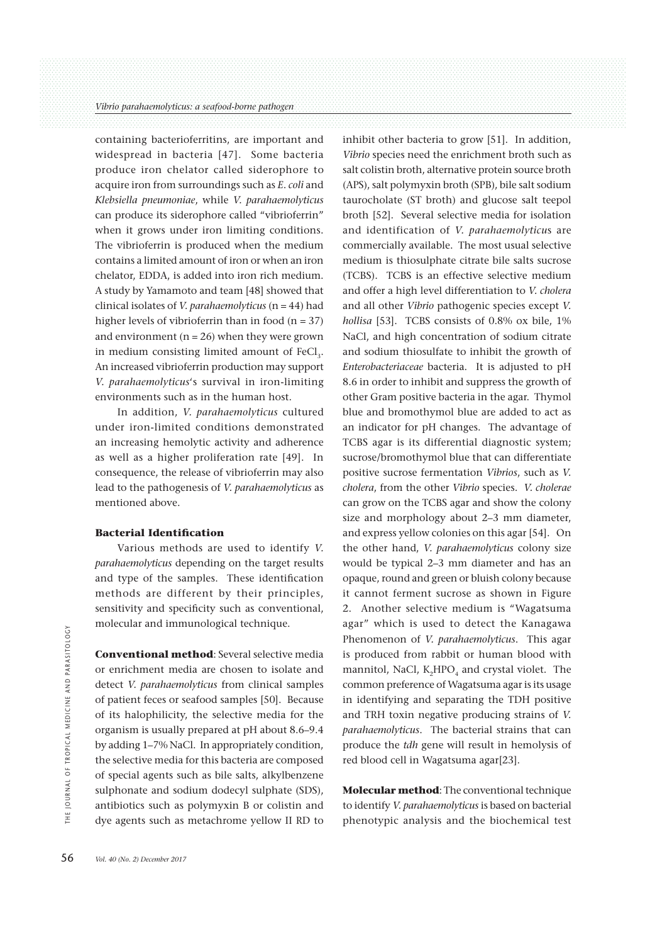containing bacterioferritins, are important and widespread in bacteria [47]. Some bacteria produce iron chelator called siderophore to acquire iron from surroundings such as *E*. *coli* and *Klebsiella pneumoniae*, while *V. parahaemolyticus*  can produce its siderophore called "vibrioferrin" when it grows under iron limiting conditions. The vibrioferrin is produced when the medium contains a limited amount of iron or when an iron chelator, EDDA, is added into iron rich medium. A study by Yamamoto and team [48] showed that clinical isolates of *V. parahaemolyticus* (n = 44) had higher levels of vibrioferrin than in food  $(n = 37)$ and environment ( $n = 26$ ) when they were grown in medium consisting limited amount of FeCl<sub>3</sub>. An increased vibrioferrin production may support *V. parahaemolyticus*'s survival in iron-limiting environments such as in the human host.

 In addition, *V. parahaemolyticus* cultured under iron-limited conditions demonstrated an increasing hemolytic activity and adherence as well as a higher proliferation rate [49]. In consequence, the release of vibrioferrin may also lead to the pathogenesis of *V. parahaemolyticus* as mentioned above.

### **Bacterial Identification**

 Various methods are used to identify *V. parahaemolyticus* depending on the target results and type of the samples. These identification methods are different by their principles, sensitivity and specificity such as conventional, molecular and immunological technique.

**Conventional method**: Several selective media or enrichment media are chosen to isolate and detect *V. parahaemolyticus* from clinical samples of patient feces or seafood samples [50]. Because of its halophilicity, the selective media for the organism is usually prepared at pH about 8.6–9.4 by adding 1–7% NaCl. In appropriately condition, the selective media for this bacteria are composed of special agents such as bile salts, alkylbenzene sulphonate and sodium dodecyl sulphate (SDS), antibiotics such as polymyxin B or colistin and dye agents such as metachrome yellow II RD to

inhibit other bacteria to grow [51]. In addition, *Vibrio* species need the enrichment broth such as salt colistin broth, alternative protein source broth (APS), salt polymyxin broth (SPB), bile salt sodium taurocholate (ST broth) and glucose salt teepol broth [52]. Several selective media for isolation and identification of *V. parahaemolyticu*s are commercially available. The most usual selective medium is thiosulphate citrate bile salts sucrose (TCBS). TCBS is an effective selective medium and offer a high level differentiation to *V. cholera*  and all other *Vibrio* pathogenic species except *V. hollisa* [53]. TCBS consists of 0.8% ox bile, 1% NaCl, and high concentration of sodium citrate and sodium thiosulfate to inhibit the growth of *Enterobacteriaceae* bacteria. It is adjusted to pH 8.6 in order to inhibit and suppress the growth of other Gram positive bacteria in the agar. Thymol blue and bromothymol blue are added to act as an indicator for pH changes. The advantage of TCBS agar is its differential diagnostic system; sucrose/bromothymol blue that can differentiate positive sucrose fermentation *Vibrios*, such as *V. cholera*, from the other *Vibrio* species. *V. cholerae* can grow on the TCBS agar and show the colony size and morphology about 2–3 mm diameter, and express yellow colonies on this agar [54]. On the other hand, *V. parahaemolyticus* colony size would be typical 2–3 mm diameter and has an opaque, round and green or bluish colony because it cannot ferment sucrose as shown in Figure 2. Another selective medium is "Wagatsuma agar" which is used to detect the Kanagawa Phenomenon of *V. parahaemolyticus*. This agar is produced from rabbit or human blood with mannitol, NaCl, K<sub>2</sub>HPO<sub>4</sub> and crystal violet. The common preference of Wagatsuma agar is its usage in identifying and separating the TDH positive and TRH toxin negative producing strains of *V. parahaemolyticus*. The bacterial strains that can produce the *tdh* gene will result in hemolysis of red blood cell in Wagatsuma agar[23].

**Molecular method**: The conventional technique to identify *V. parahaemolyticus* is based on bacterial phenotypic analysis and the biochemical test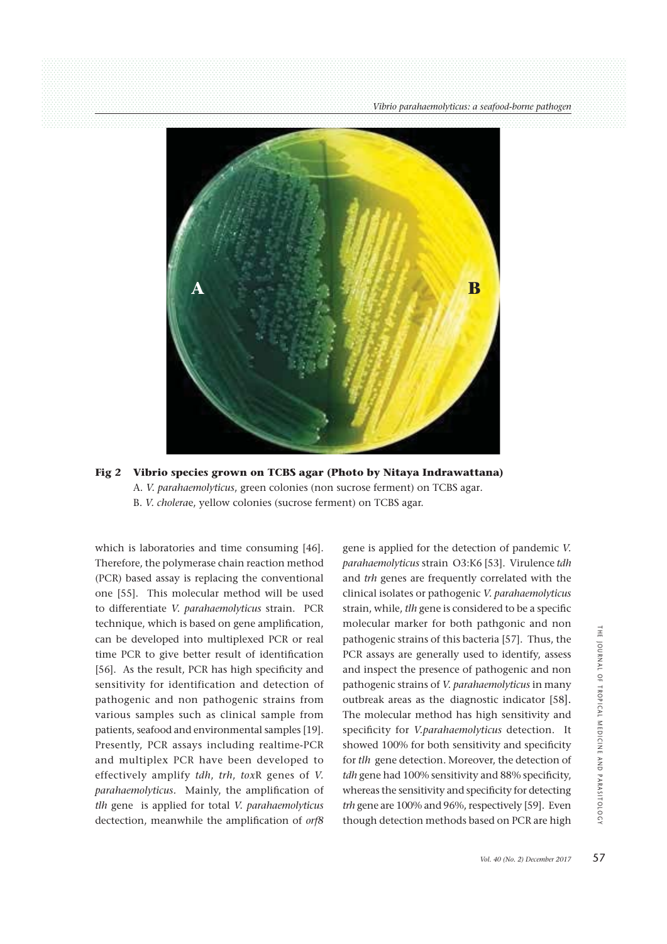

# **Fig 2 Vibrio species grown on TCBS agar (Photo by Nitaya Indrawattana)** A. *V. parahaemolyticus*, green colonies (non sucrose ferment) on TCBS agar*.* B. *V. cholera*e, yellow colonies (sucrose ferment) on TCBS agar.

which is laboratories and time consuming [46]. Therefore, the polymerase chain reaction method (PCR) based assay is replacing the conventional one [55]. This molecular method will be used to differentiate *V. parahaemolyticus* strain. PCR technique, which is based on gene amplification, can be developed into multiplexed PCR or real time PCR to give better result of identification [56]. As the result, PCR has high specificity and sensitivity for identification and detection of pathogenic and non pathogenic strains from various samples such as clinical sample from patients, seafood and environmental samples [19]. Presently, PCR assays including realtime-PCR and multiplex PCR have been developed to effectively amplify *tdh*, *trh*, *tox*R genes of *V. parahaemolyticus.* Mainly, the amplification of *tlh* gene is applied for total *V. parahaemolyticus* dectection, meanwhile the amplification of *orf8*  gene is applied for the detection of pandemic *V. parahaemolyticus* strain O3:K6 [53]. Virulence *tdh* and *trh* genes are frequently correlated with the clinical isolates or pathogenic *V. parahaemolyticus* strain, while, *tlh* gene is considered to be a specific molecular marker for both pathgonic and non pathogenic strains of this bacteria [57]. Thus, the PCR assays are generally used to identify, assess and inspect the presence of pathogenic and non pathogenic strains of *V. parahaemolyticus* in many outbreak areas as the diagnostic indicator [58]. The molecular method has high sensitivity and specificity for *V.parahaemolyticus* detection. It showed 100% for both sensitivity and specificity for *tlh* gene detection. Moreover, the detection of *tdh* gene had 100% sensitivity and 88% specificity, whereas the sensitivity and specificity for detecting *trh* gene are 100% and 96%, respectively [59]. Even though detection methods based on PCR are high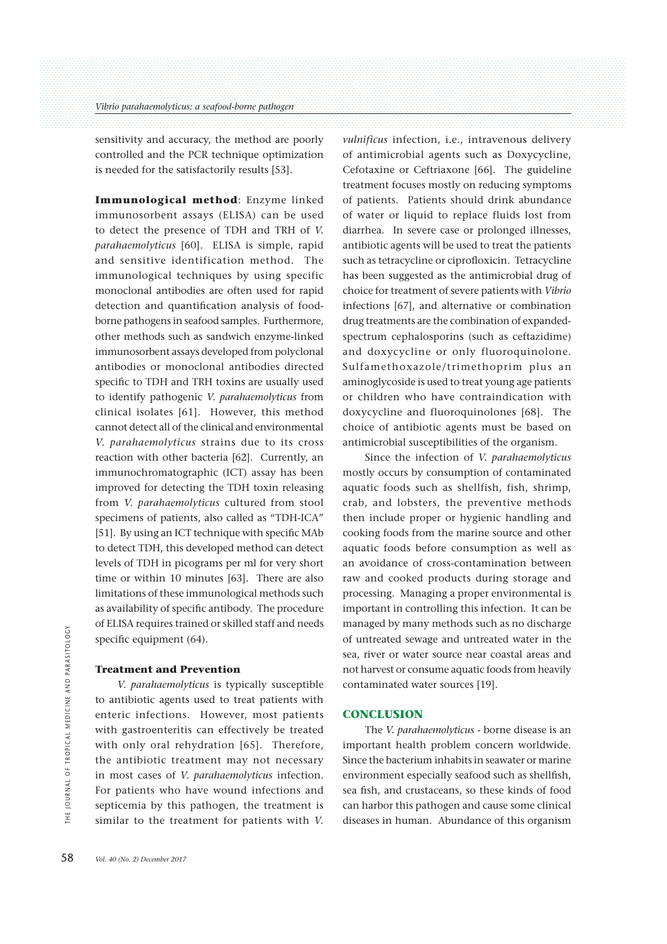sensitivity and accuracy, the method are poorly controlled and the PCR technique optimization is needed for the satisfactorily results [53].

**Immunological method**: Enzyme linked immunosorbent assays (ELISA) can be used to detect the presence of TDH and TRH of *V. parahaemolyticus* [60]. ELISA is simple, rapid and sensitive identification method. The immunological techniques by using specific monoclonal antibodies are often used for rapid detection and quantification analysis of foodborne pathogens in seafood samples. Furthermore, other methods such as sandwich enzyme-linked immunosorbent assays developed from polyclonal antibodies or monoclonal antibodies directed specific to TDH and TRH toxins are usually used to identify pathogenic *V. parahaemolyticus* from clinical isolates [61]. However, this method cannot detect all of the clinical and environmental *V. parahaemolyticus* strains due to its cross reaction with other bacteria [62]. Currently, an immunochromatographic (ICT) assay has been improved for detecting the TDH toxin releasing from *V. parahaemolyticus* cultured from stool specimens of patients, also called as "TDH-ICA" [51]. By using an ICT technique with specific MAb to detect TDH, this developed method can detect levels of TDH in picograms per ml for very short time or within 10 minutes [63]. There are also limitations of these immunological methods such as availability of specific antibody. The procedure of ELISA requires trained or skilled staff and needs specific equipment (64).

#### **Treatment and Prevention**

 *V. parahaemolyticus* is typically susceptible to antibiotic agents used to treat patients with enteric infections. However, most patients with gastroenteritis can effectively be treated with only oral rehydration [65]. Therefore, the antibiotic treatment may not necessary in most cases of *V. parahaemolyticus* infection. For patients who have wound infections and septicemia by this pathogen, the treatment is similar to the treatment for patients with *V.* 

*vulnificus* infection, i.e., intravenous delivery of antimicrobial agents such as Doxycycline, Cefotaxine or Ceftriaxone [66]. The guideline treatment focuses mostly on reducing symptoms of patients. Patients should drink abundance of water or liquid to replace fluids lost from diarrhea. In severe case or prolonged illnesses, antibiotic agents will be used to treat the patients such as tetracycline or ciprofloxicin. Tetracycline has been suggested as the antimicrobial drug of choice for treatment of severe patients with *Vibrio* infections [67], and alternative or combination drug treatments are the combination of expandedspectrum cephalosporins (such as ceftazidime) and doxycycline or only fluoroquinolone. Sulfamethoxazole/trimethoprim plus an aminoglycoside is used to treat young age patients or children who have contraindication with doxycycline and fluoroquinolones [68]. The choice of antibiotic agents must be based on antimicrobial susceptibilities of the organism.

 Since the infection of *V. parahaemolyticus* mostly occurs by consumption of contaminated aquatic foods such as shellfish, fish, shrimp, crab, and lobsters, the preventive methods then include proper or hygienic handling and cooking foods from the marine source and other aquatic foods before consumption as well as an avoidance of cross-contamination between raw and cooked products during storage and processing. Managing a proper environmental is important in controlling this infection. It can be managed by many methods such as no discharge of untreated sewage and untreated water in the sea, river or water source near coastal areas and not harvest or consume aquatic foods from heavily contaminated water sources [19].

#### **CONCLUSION**

 The *V. parahaemolyticus* - borne disease is an important health problem concern worldwide. Since the bacterium inhabits in seawater or marine environment especially seafood such as shellfish, sea fish, and crustaceans, so these kinds of food can harbor this pathogen and cause some clinical diseases in human. Abundance of this organism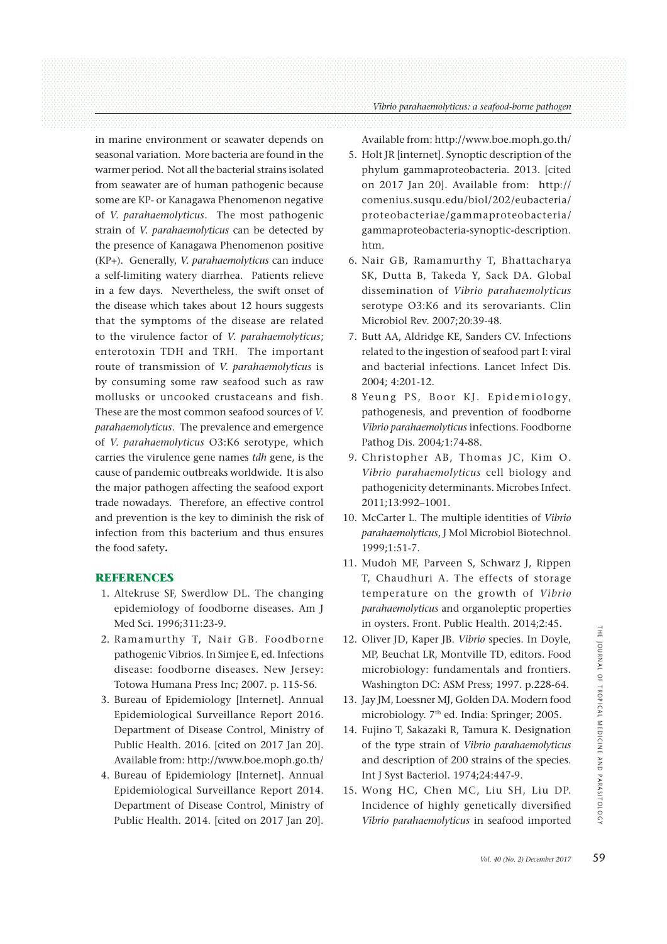#### *Vibrio parahaemolyticus: a seafood-borne pathogen*

in marine environment or seawater depends on seasonal variation. More bacteria are found in the warmer period. Not all the bacterial strains isolated from seawater are of human pathogenic because some are KP- or Kanagawa Phenomenon negative of *V. parahaemolyticus*. The most pathogenic strain of *V. parahaemolyticus* can be detected by the presence of Kanagawa Phenomenon positive (KP+). Generally, *V. parahaemolyticus* can induce a self-limiting watery diarrhea. Patients relieve in a few days. Nevertheless, the swift onset of the disease which takes about 12 hours suggests that the symptoms of the disease are related to the virulence factor of *V. parahaemolyticus*; enterotoxin TDH and TRH. The important route of transmission of *V. parahaemolyticus* is by consuming some raw seafood such as raw mollusks or uncooked crustaceans and fish. These are the most common seafood sources of *V. parahaemolyticus*. The prevalence and emergence of *V. parahaemolyticus* O3:K6 serotype, which carries the virulence gene names *tdh* gene, is the cause of pandemic outbreaks worldwide. It is also the major pathogen affecting the seafood export trade nowadays. Therefore, an effective control and prevention is the key to diminish the risk of infection from this bacterium and thus ensures the food safety**.**

#### **REFERENCES**

- 1. Altekruse SF, Swerdlow DL. The changing epidemiology of foodborne diseases. Am J Med Sci. 1996;311:23-9.
- 2. Ramamurthy T, Nair GB. Foodborne pathogenic Vibrios. In Simjee E, ed. Infections disease: foodborne diseases. New Jersey: Totowa Humana Press Inc; 2007. p. 115-56.
- 3. Bureau of Epidemiology [Internet]. Annual Epidemiological Surveillance Report 2016. Department of Disease Control, Ministry of Public Health. 2016. [cited on 2017 Jan 20]. Available from: http://www.boe.moph.go.th/
- 4. Bureau of Epidemiology [Internet]. Annual Epidemiological Surveillance Report 2014. Department of Disease Control, Ministry of Public Health. 2014. [cited on 2017 Jan 20].

Available from: http://www.boe.moph.go.th/

- 5. Holt JR [internet]. Synoptic description of the phylum gammaproteobacteria. 2013. [cited on 2017 Jan 20]. Available from: http:// comenius.susqu.edu/biol/202/eubacteria/ proteobacteriae/gammaproteobacteria/ gammaproteobacteria-synoptic-description. htm.
- 6. Nair GB, Ramamurthy T, Bhattacharya SK, Dutta B, Takeda Y, Sack DA. Global dissemination of *Vibrio parahaemolyticus* serotype O3:K6 and its serovariants. Clin Microbiol Rev. 2007;20:39-48.
- 7. Butt AA, Aldridge KE, Sanders CV. Infections related to the ingestion of seafood part I: viral and bacterial infections. Lancet Infect Dis. 2004; 4:201-12.
- 8 Yeung PS, Boor KJ. Epidemiology, pathogenesis, and prevention of foodborne *Vibrio parahaemolyticus* infections. Foodborne Pathog Dis. 2004*;*1:74-88.
- 9. Christopher AB, Thomas JC, Kim O. *Vibrio parahaemolyticus* cell biology and pathogenicity determinants. Microbes Infect. 2011;13:992–1001.
- 10. McCarter L. The multiple identities of *Vibrio parahaemolyticus*, J Mol Microbiol Biotechnol. 1999;1:51-7.
- 11. Mudoh MF, Parveen S, Schwarz J, Rippen T, Chaudhuri A. The effects of storage temperature on the growth of *Vibrio parahaemolyticus* and organoleptic properties in oysters. Front. Public Health. 2014;2:45.
- 12. Oliver JD, Kaper JB. *Vibrio* species. In Doyle, MP, Beuchat LR, Montville TD, editors. Food microbiology: fundamentals and frontiers. Washington DC: ASM Press; 1997. p.228-64.
- 13. Jay JM, Loessner MJ, Golden DA. Modern food microbiology. 7<sup>th</sup> ed. India: Springer; 2005.
- 14. Fujino T, Sakazaki R, Tamura K. Designation of the type strain of *Vibrio parahaemolyticus* and description of 200 strains of the species. Int J Syst Bacteriol. 1974;24:447-9.
- 15. Wong HC, Chen MC, Liu SH, Liu DP. Incidence of highly genetically diversified *Vibrio parahaemolyticus* in seafood imported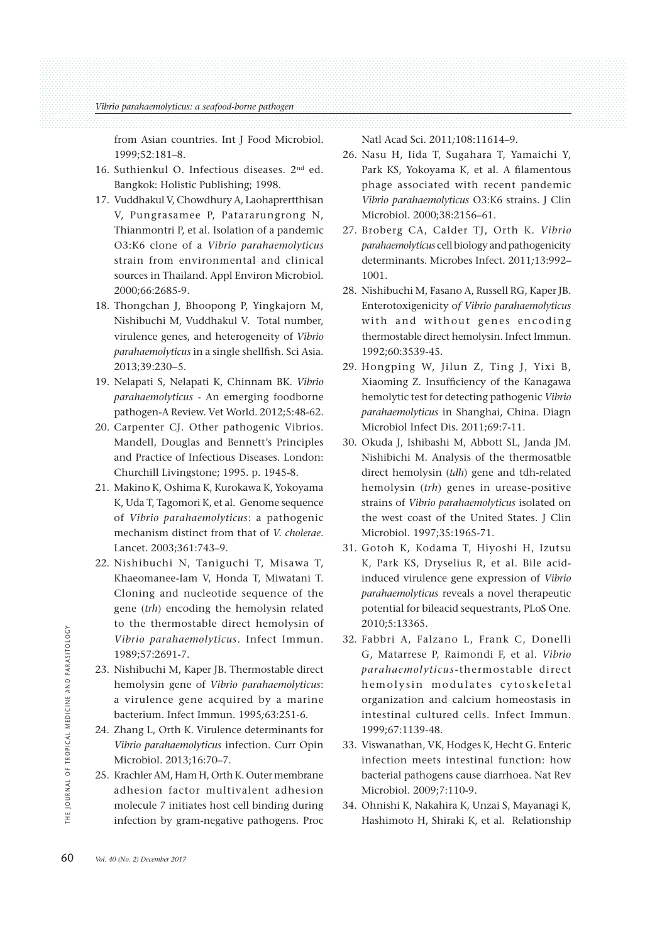from Asian countries. Int J Food Microbiol. 1999;52:181–8.

- 16. Suthienkul O. Infectious diseases. 2nd ed. Bangkok: Holistic Publishing; 1998.
- 17. Vuddhakul V, Chowdhury A, Laohaprertthisan V, Pungrasamee P, Patararungrong N, Thianmontri P, et al. Isolation of a pandemic O3:K6 clone of a *Vibrio parahaemolyticus* strain from environmental and clinical sources in Thailand. Appl Environ Microbiol. 2000;66:2685-9.
- 18. Thongchan J, Bhoopong P, Yingkajorn M, Nishibuchi M, Vuddhakul V. Total number, virulence genes, and heterogeneity of *Vibrio parahaemolyticus* in a single shellfish. Sci Asia. 2013;39:230−5.
- 19. Nelapati S, Nelapati K, Chinnam BK. *Vibrio parahaemolyticus* - An emerging foodborne pathogen-A Review. Vet World. 2012;5:48-62.
- 20. Carpenter CJ. Other pathogenic Vibrios. Mandell, Douglas and Bennett's Principles and Practice of Infectious Diseases. London: Churchill Livingstone; 1995. p. 1945-8.
- 21. Makino K, Oshima K, Kurokawa K, Yokoyama K, Uda T, Tagomori K, et al. Genome sequence of *Vibrio parahaemolyticus*: a pathogenic mechanism distinct from that of *V. cholerae*. Lancet. 2003;361:743–9.
- 22. Nishibuchi N, Taniguchi T, Misawa T, Khaeomanee-Iam V, Honda T, Miwatani T. Cloning and nucleotide sequence of the gene (*trh*) encoding the hemolysin related to the thermostable direct hemolysin of *Vibrio parahaemolyticus*. Infect Immun. 1989;57:2691-7.
- 23. Nishibuchi M, Kaper JB. Thermostable direct hemolysin gene of *Vibrio parahaemolyticus*: a virulence gene acquired by a marine bacterium. Infect Immun*.* 1995*;*63:251-6.
- 24. Zhang L, Orth K. Virulence determinants for *Vibrio parahaemolyticus* infection. Curr Opin Microbiol. 2013;16:70–7.
- 25. Krachler AM, Ham H, Orth K. Outer membrane adhesion factor multivalent adhesion molecule 7 initiates host cell binding during infection by gram-negative pathogens*.* Proc

Natl Acad Sci*.* 2011*;*108:11614–9.

- 26. Nasu H, Iida T, Sugahara T, Yamaichi Y, Park KS, Yokoyama K, et al. A filamentous phage associated with recent pandemic *Vibrio parahaemolyticus* O3:K6 strains. J Clin Microbiol. 2000;38:2156–61.
- 27. Broberg CA, Calder TJ, Orth K. *Vibrio parahaemolyticus* cell biology and pathogenicity determinants. Microbes Infect*.* 2011*;*13:992– 1001.
- 28. Nishibuchi M, Fasano A, Russell RG, Kaper JB. Enterotoxigenicity o*f Vibrio parahaemolyticus* with and without genes encoding thermostable direct hemolysin. Infect Immun. 1992;60:3539-45.
- 29. Hongping W, Jilun Z, Ting J, Yixi B, Xiaoming Z. Insufficiency of the Kanagawa hemolytic test for detecting pathogenic *Vibrio parahaemolyticus* in Shanghai, China. Diagn Microbiol Infect Dis. 2011;69:7-11.
- 30. Okuda J, Ishibashi M, Abbott SL, Janda JM. Nishibichi M. Analysis of the thermosatble direct hemolysin (*tdh*) gene and tdh-related hemolysin (*trh*) genes in urease-positive strains of *Vibrio parahaemolyticus* isolated on the west coast of the United States. J Clin Microbiol. 1997;35:1965-71.
- 31. Gotoh K, Kodama T, Hiyoshi H, Izutsu K, Park KS, Dryselius R, et al. Bile acidinduced virulence gene expression of *Vibrio parahaemolyticus* reveals a novel therapeutic potential for bileacid sequestrants, PLoS One. 2010;5:13365.
- 32. Fabbri A, Falzano L, Frank C, Donelli G, Matarrese P, Raimondi F, et al. *Vibrio parahaemolyticus* -thermostable direct hemolysin modulates cytoskeletal organization and calcium homeostasis in intestinal cultured cells. Infect Immun. 1999;67:1139-48.
- 33. Viswanathan, VK, Hodges K, Hecht G. Enteric infection meets intestinal function: how bacterial pathogens cause diarrhoea. Nat Rev Microbiol. 2009;7:110-9.
- 34. Ohnishi K, Nakahira K, Unzai S, Mayanagi K, Hashimoto H, Shiraki K, et al. Relationship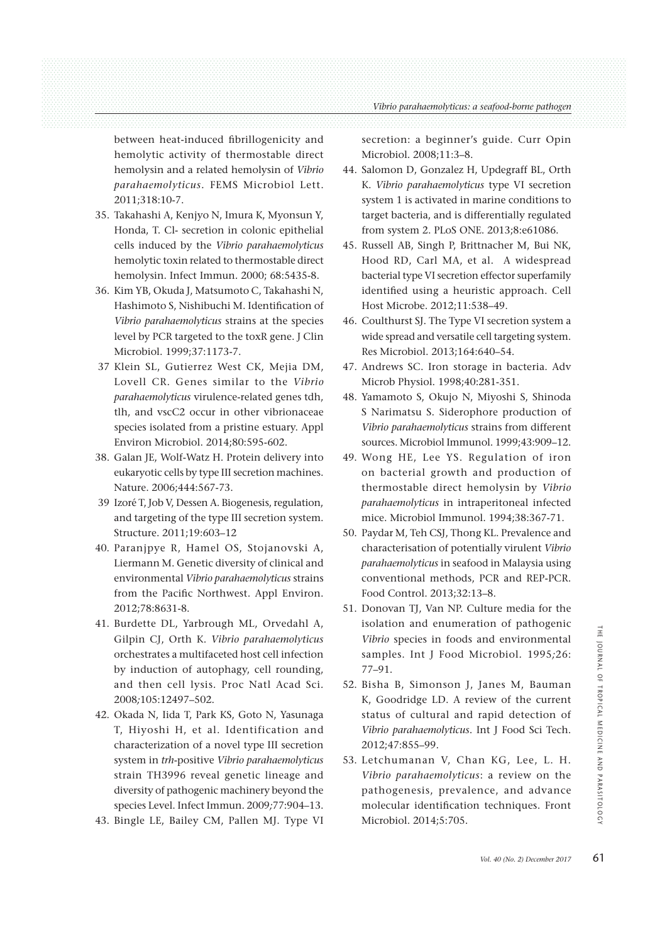between heat-induced fibrillogenicity and hemolytic activity of thermostable direct hemolysin and a related hemolysin of *Vibrio parahaemolyticus.* FEMS Microbiol Lett. 2011;318:10-7.

- 35. Takahashi A, Kenjyo N, Imura K, Myonsun Y, Honda, T. Cl- secretion in colonic epithelial cells induced by the *Vibrio parahaemolyticus*  hemolytic toxin related to thermostable direct hemolysin. Infect Immun*.* 2000; 68:5435-8.
- 36. Kim YB, Okuda J, Matsumoto C, Takahashi N, Hashimoto S, Nishibuchi M. Identification of *Vibrio parahaemolyticus* strains at the species level by PCR targeted to the toxR gene. J Clin Microbiol. 1999;37:1173-7.
- 37 Klein SL, Gutierrez West CK, Mejia DM, Lovell CR. Genes similar to the *Vibrio parahaemolyticus* virulence-related genes tdh, tlh, and vscC2 occur in other vibrionaceae species isolated from a pristine estuary. Appl Environ Microbiol. 2014;80:595-602.
- 38. Galan JE, Wolf-Watz H. Protein delivery into eukaryotic cells by type III secretion machines. Nature. 2006;444:567-73.
- 39 Izoré T, Job V, Dessen A. Biogenesis, regulation, and targeting of the type III secretion system. Structure. 2011;19:603–12
- 40. Paranjpye R, Hamel OS, Stojanovski A, Liermann M. Genetic diversity of clinical and environmental *Vibrio parahaemolyticus* strains from the Pacific Northwest. Appl Environ. 2012;78:8631-8.
- 41. Burdette DL, Yarbrough ML, Orvedahl A, Gilpin CJ, Orth K. *Vibrio parahaemolyticus* orchestrates a multifaceted host cell infection by induction of autophagy, cell rounding, and then cell lysis*.* Proc Natl Acad Sci*.* 2008*;*105:12497–502.
- 42. Okada N, Iida T, Park KS, Goto N, Yasunaga T, Hiyoshi H, et al. Identification and characterization of a novel type III secretion system in *trh*-positive *Vibrio parahaemolyticus* strain TH3996 reveal genetic lineage and diversity of pathogenic machinery beyond the species Level. Infect Immun. 2009*;*77:904–13.
- 43. Bingle LE, Bailey CM, Pallen MJ. Type VI

secretion: a beginner's guide. Curr Opin Microbiol. 2008;11:3–8.

- 44. Salomon D, Gonzalez H, Updegraff BL, Orth K. *Vibrio parahaemolyticus* type VI secretion system 1 is activated in marine conditions to target bacteria, and is differentially regulated from system 2. PLoS ONE. 2013;8:e61086.
- 45. Russell AB, Singh P, Brittnacher M, Bui NK, Hood RD, Carl MA, et al. A widespread bacterial type VI secretion effector superfamily identified using a heuristic approach. Cell Host Microbe. 2012;11:538–49.
- 46. Coulthurst SJ. The Type VI secretion system a wide spread and versatile cell targeting system. Res Microbiol. 2013;164:640–54.
- 47. Andrews SC. Iron storage in bacteria. Adv Microb Physiol. 1998;40:281-351.
- 48. Yamamoto S, Okujo N, Miyoshi S, Shinoda S Narimatsu S. Siderophore production of *Vibrio parahaemolyticus* strains from different sources. Microbiol Immunol. 1999;43:909–12.
- 49. Wong HE, Lee YS. Regulation of iron on bacterial growth and production of thermostable direct hemolysin by *Vibrio parahaemolyticus* in intraperitoneal infected mice. Microbiol Immunol. 1994;38:367-71.
- 50. Paydar M, Teh CSJ, Thong KL. Prevalence and characterisation of potentially virulent *Vibrio parahaemolyticus* in seafood in Malaysia using conventional methods, PCR and REP-PCR. Food Control. 2013;32:13–8.
- 51. Donovan TJ, Van NP. Culture media for the isolation and enumeration of pathogenic *Vibrio* species in foods and environmental samples. Int J Food Microbiol*.* 1995*;*26: 77–91.
- 52. Bisha B, Simonson J, Janes M, Bauman K, Goodridge LD. A review of the current status of cultural and rapid detection of *Vibrio parahaemolyticus*. Int J Food Sci Tech. 2012;47:855–99.
- 53. Letchumanan V, Chan KG, Lee, L. H. *Vibrio parahaemolyticus*: a review on the pathogenesis, prevalence, and advance molecular identification techniques. Front Microbiol. 2014;5:705.

THE JOURNAL OF TROPICAL MEDICINE AND PARASITOLOGY PARASITOLOGY

HI.

**JANAUO** 

OF TROPICAL

MEDICINE AND